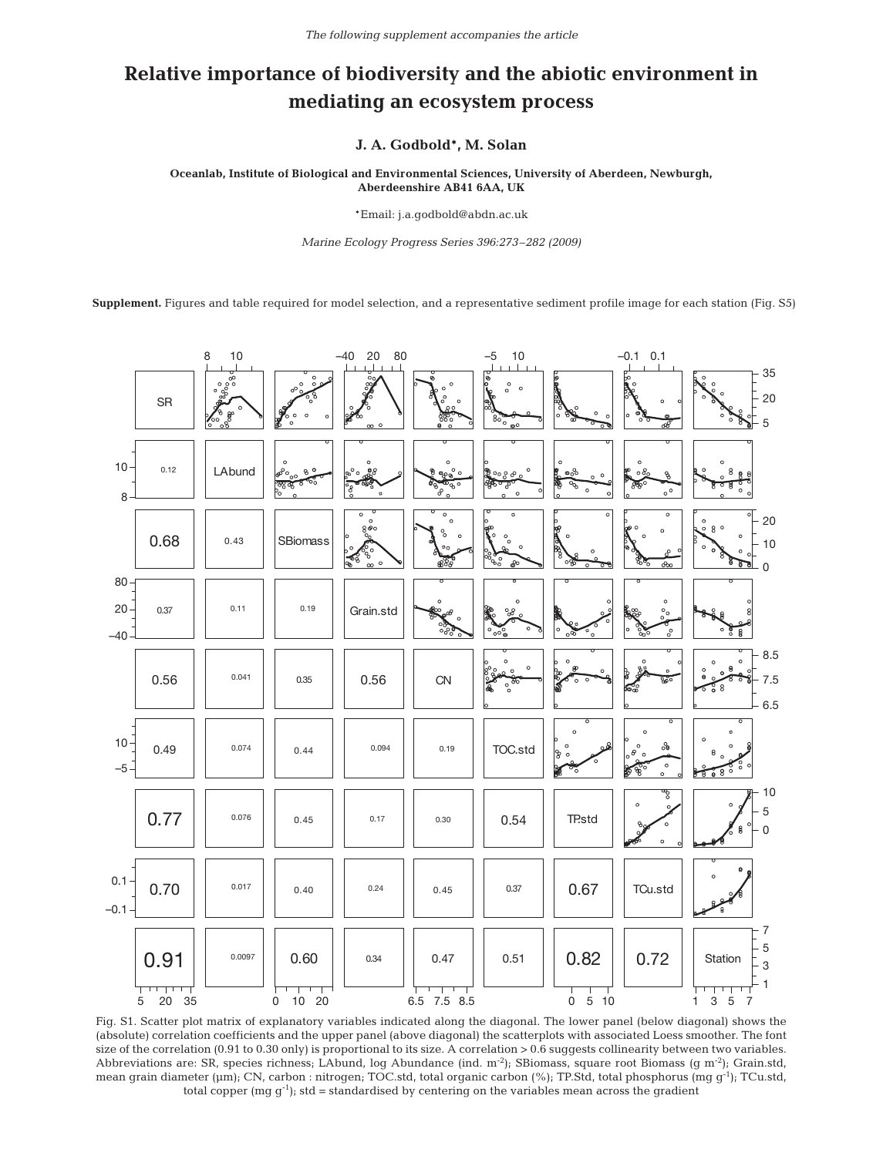## **Relative importance of biodiversity and the abiotic environment in mediating an ecosystem process**

**J. A. Godbold\*, M. Solan**

**Oceanlab, Institute of Biological and Environmental Sciences, University of Aberdeen, Newburgh, Aberdeenshire AB41 6AA, UK**

\*Email: j.a.godbold@abdn.ac.uk

*Marine Ecology Progress Series 396:273–282 (2009)*

**Supplement.** Figures and table required for model selection, and a representative sediment profile image for each station (Fig. S5)



Fig. S1. Scatter plot matrix of explanatory variables indicated along the diagonal. The lower panel (below diagonal) shows the (absolute) correlation coefficients and the upper panel (above diagonal) the scatterplots with associated Loess smoother. The font size of the correlation (0.91 to 0.30 only) is proportional to its size. A correlation > 0.6 suggests collinearity between two variables. Abbreviations are: SR, species richness; LAbund, log Abundance (ind. m<sup>-2</sup>); SBiomass, square root Biomass (g m<sup>-2</sup>); Grain.std, mean grain diameter (µm); CN, carbon : nitrogen; TOC.std, total organic carbon (%); TP.Std, total phosphorus (mg g<sup>-1</sup>); TCu.std, total copper  $(mg\ q^{-1})$ ; std = standardised by centering on the variables mean across the gradient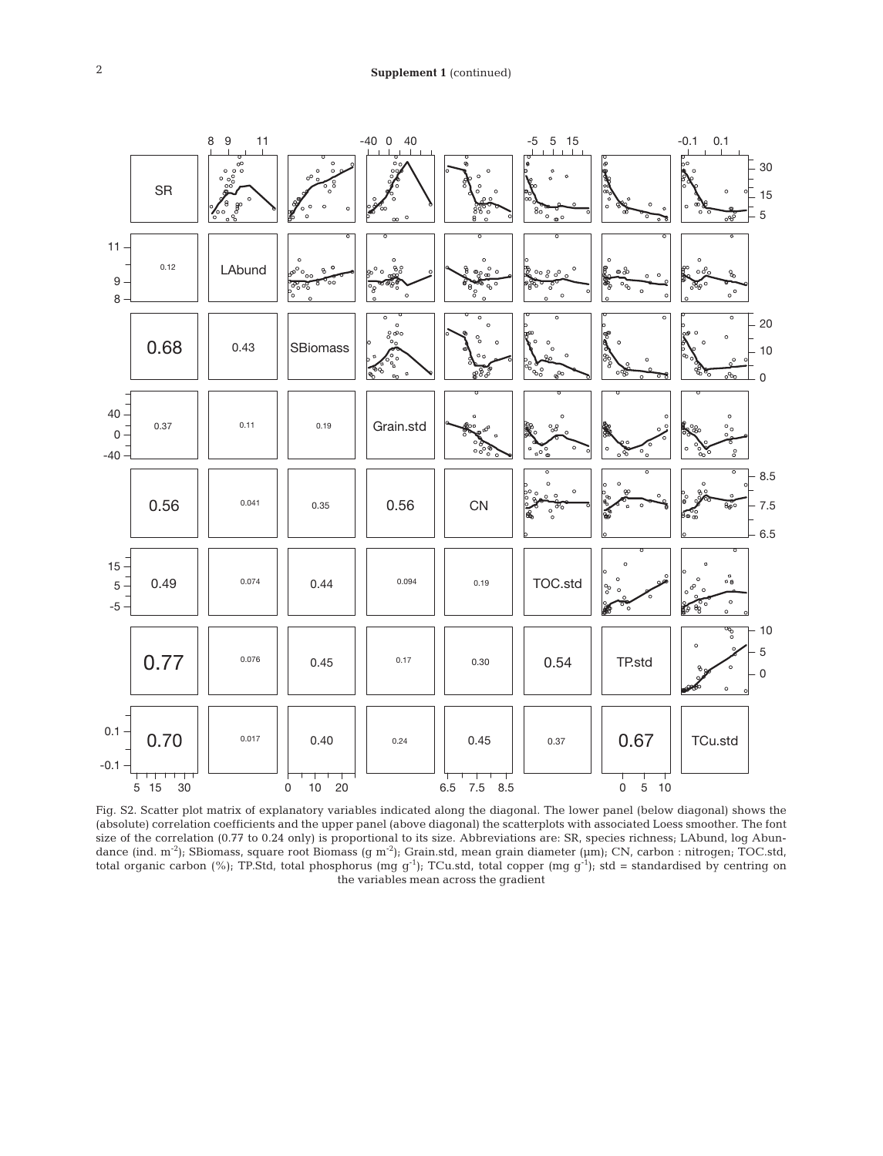

Fig. S2. Scatter plot matrix of explanatory variables indicated along the diagonal. The lower panel (below diagonal) shows the (absolute) correlation coefficients and the upper panel (above diagonal) the scatterplots with associated Loess smoother. The font size of the correlation (0.77 to 0.24 only) is proportional to its size. Abbreviations are: SR, species richness; LAbund, log Abundance (ind. m<sup>-2</sup>); SBiomass, square root Biomass (g m<sup>-2</sup>); Grain.std, mean grain diameter (µm); CN, carbon : nitrogen; TOC.std, total organic carbon (%); TP.Std, total phosphorus (mg g<sup>-1</sup>); TCu.std, total copper (mg g<sup>-1</sup>); std = standardised by centring on the variables mean across the gradient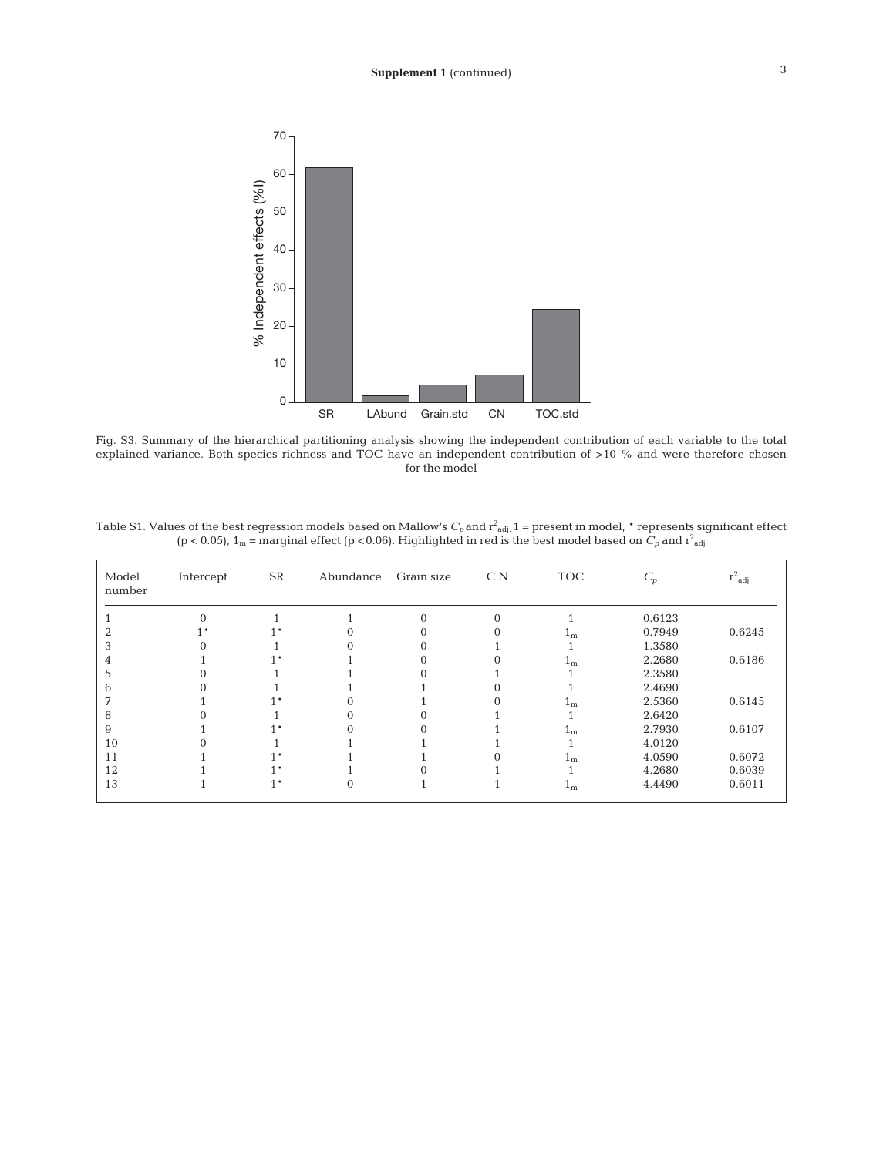

Fig. S3. Summary of the hierarchical partitioning analysis showing the independent contribution of each variable to the total explained variance. Both species richness and TOC have an independent contribution of >10 % and were therefore chosen for the model

Table S1. Values of the best regression models based on Mallow's  $C_p$  and  $r^2_{\rm adj.}$  1 = present in model,  $^*$  represents significant effect (p < 0.05),  $1_m$  = marginal effect (p < 0.06). Highlighted in red is the best model based on  $C_p$  and  $r^2_{adj}$ 

| Model<br>number | Intercept | ${\rm SR}$ | Abundance | Grain size | C: N     | <b>TOC</b>     | $\mathfrak{C}_p$ | $r^2_{\;\; adj}$ |
|-----------------|-----------|------------|-----------|------------|----------|----------------|------------------|------------------|
|                 | $\Omega$  |            |           | $\Omega$   | $\Omega$ |                | 0.6123           |                  |
|                 |           |            |           | 0          | $\Omega$ | 1 <sub>m</sub> | 0.7949           | 0.6245           |
|                 |           |            |           | 0          |          |                | 1.3580           |                  |
|                 |           |            |           | 0          |          | 1 <sub>m</sub> | 2.2680           | 0.6186           |
|                 |           |            |           |            |          |                | 2.3580           |                  |
| h               |           |            |           |            |          |                | 2.4690           |                  |
|                 |           |            |           |            |          | $1_{m}$        | 2.5360           | 0.6145           |
| 8               |           |            |           |            |          |                | 2.6420           |                  |
| 9               |           |            |           |            |          | 1 <sub>m</sub> | 2.7930           | 0.6107           |
| 10              |           |            |           |            |          |                | 4.0120           |                  |
| 11              |           |            |           |            |          | $1_{m}$        | 4.0590           | 0.6072           |
| 12              |           |            |           |            |          |                | 4.2680           | 0.6039           |
| 13              |           | 1 *        | $\Omega$  |            |          | 1 <sub>m</sub> | 4.4490           | 0.6011           |
|                 |           |            |           |            |          |                |                  |                  |